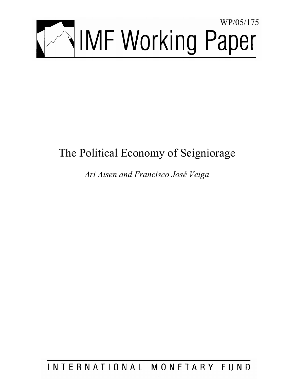

# The Political Economy of Seigniorage

*Ari Aisen and Francisco José Veiga* 

INTERNATIONAL MONETARY FUND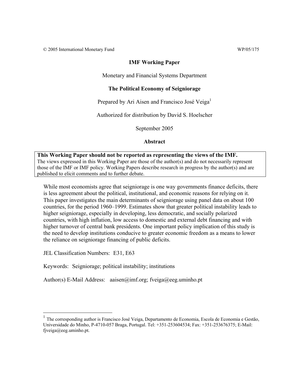© 2005 International Monetary Fund WP/05/175

# **IMF Working Paper**

Monetary and Financial Systems Department

# **The Political Economy of Seigniorage**

Prepared by Ari Aisen and Francisco José Veiga $^1$ 

Authorized for distribution by David S. Hoelscher

September 2005

**Abstract**

# **This Working Paper should not be reported as representing the views of the IMF.** The views expressed in this Working Paper are those of the author(s) and do not necessarily represent those of the IMF or IMF policy. Working Papers describe research in progress by the author(s) and are published to elicit comments and to further debate.

While most economists agree that seigniorage is one way governments finance deficits, there is less agreement about the political, institutional, and economic reasons for relying on it. This paper investigates the main determinants of seigniorage using panel data on about 100 countries, for the period 1960–1999. Estimates show that greater political instability leads to higher seigniorage, especially in developing, less democratic, and socially polarized countries, with high inflation, low access to domestic and external debt financing and with higher turnover of central bank presidents. One important policy implication of this study is the need to develop institutions conducive to greater economic freedom as a means to lower the reliance on seigniorage financing of public deficits.

JEL Classification Numbers: E31, E63

 $\overline{a}$ 

Keywords: Seigniorage; political instability; institutions

Author(s) E-Mail Address: aaisen@imf.org; fveiga@eeg.uminho.pt

 $<sup>1</sup>$  The corresponding author is Francisco José Veiga, Departamento de Economia, Escola de Economia e Gestão,</sup> Universidade do Minho, P-4710-057 Braga, Portugal. Tel: +351-253604534; Fax: +351-253676375; E-Mail: fjveiga@eeg.uminho.pt.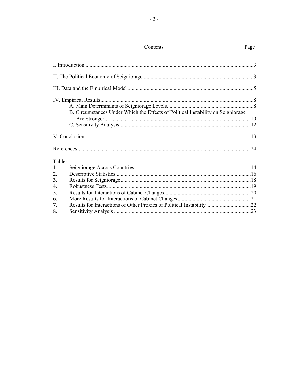|                  | Contents                                                                         | Page |
|------------------|----------------------------------------------------------------------------------|------|
|                  |                                                                                  |      |
|                  |                                                                                  |      |
|                  |                                                                                  |      |
|                  | B. Circumstances Under Which the Effects of Political Instability on Seigniorage |      |
|                  |                                                                                  |      |
|                  |                                                                                  |      |
|                  |                                                                                  |      |
| Tables           |                                                                                  |      |
| $\mathbf{1}$ .   |                                                                                  |      |
| 2.               |                                                                                  |      |
| 3.               |                                                                                  |      |
| $\overline{4}$ . |                                                                                  |      |
| 5.               |                                                                                  |      |
| 6.               |                                                                                  |      |
| 7.               |                                                                                  |      |
| 8.               |                                                                                  |      |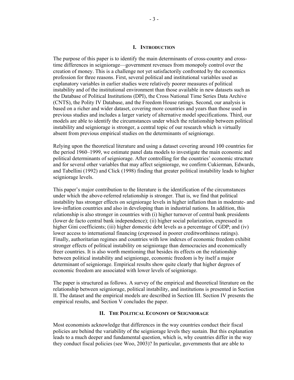#### **I. INTRODUCTION**

The purpose of this paper is to identify the main determinants of cross-country and crosstime differences in seigniorage—government revenues from monopoly control over the creation of money. This is a challenge not yet satisfactorily confronted by the economics profession for three reasons. First, several political and institutional variables used as explanatory variables in earlier studies were relatively poorer measures of political instability and of the institutional environment than those available in new datasets such as the Database of Political Institutions (DPI), the Cross National Time Series Data Archive (CNTS), the Polity IV Database, and the Freedom House ratings. Second, our analysis is based on a richer and wider dataset, covering more countries and years than those used in previous studies and includes a larger variety of alternative model specifications. Third, our models are able to identify the circumstances under which the relationship between political instability and seigniorage is stronger, a central topic of our research which is virtually absent from previous empirical studies on the determinants of seigniorage.

Relying upon the theoretical literature and using a dataset covering around 100 countries for the period 1960–1999, we estimate panel data models to investigate the main economic and political determinants of seigniorage. After controlling for the countries' economic structure and for several other variables that may affect seigniorage, we confirm Cukierman, Edwards, and Tabellini (1992) and Click (1998) finding that greater political instability leads to higher seigniorage levels.

This paper's major contribution to the literature is the identification of the circumstances under which the above-referred relationship is stronger. That is, we find that political instability has stronger effects on seigniorage levels in higher inflation than in moderate- and low-inflation countries and also in developing than in industrial nations. In addition, this relationship is also stronger in countries with (i) higher turnover of central bank presidents (lower de facto central bank independence); (ii) higher social polarization, expressed in higher Gini coefficients; (iii) higher domestic debt levels as a percentage of GDP; and (iv) lower access to international financing (expressed in poorer creditworthiness ratings). Finally, authoritarian regimes and countries with low indexes of economic freedom exhibit stronger effects of political instability on seigniorage than democracies and economically freer countries. It is also worth mentioning that besides its effects on the relationship between political instability and seigniorage, economic freedom is by itself a major determinant of seigniorage. Empirical results show quite clearly that higher degrees of economic freedom are associated with lower levels of seigniorage.

The paper is structured as follows. A survey of the empirical and theoretical literature on the relationship between seigniorage, political instability, and institutions is presented in Section II. The dataset and the empirical models are described in Section III. Section IV presents the empirical results, and Section V concludes the paper.

#### **II. THE POLITICAL ECONOMY OF SEIGNIORAGE**

Most economists acknowledge that differences in the way countries conduct their fiscal policies are behind the variability of the seigniorage levels they sustain. But this explanation leads to a much deeper and fundamental question, which is, why countries differ in the way they conduct fiscal policies (see Woo, 2003)? In particular, governments that are able to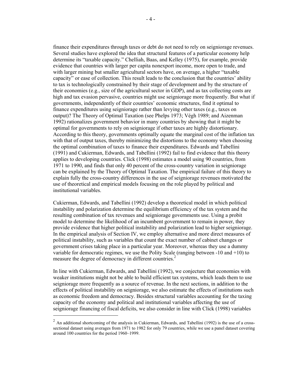finance their expenditures through taxes or debt do not need to rely on seigniorage revenues. Several studies have explored the idea that structural features of a particular economy help determine its "taxable capacity." Chelliah, Baas, and Kelley (1975), for example, provide evidence that countries with larger per capita nonexport income, more open to trade, and with larger mining but smaller agricultural sectors have, on average, a higher "taxable capacity" or ease of collection. This result leads to the conclusion that the countries' ability to tax is technologically constrained by their stage of development and by the structure of their economies (e.g., size of the agricultural sector in GDP), and as tax collecting costs are high and tax evasion pervasive, countries might use seigniorage more frequently. But what if governments, independently of their countries' economic structures, find it optimal to finance expenditures using seigniorage rather than levying other taxes (e.g., taxes on output)? The Theory of Optimal Taxation (see Phelps 1973; Végh 1989; and Aizenman 1992) rationalizes government behavior in many countries by showing that it might be optimal for governments to rely on seigniorage if other taxes are highly distortionary. According to this theory, governments optimally equate the marginal cost of the inflation tax with that of output taxes, thereby minimizing the distortions to the economy when choosing the optimal combination of taxes to finance their expenditures. Edwards and Tabellini (1991) and Cukierman, Edwards, and Tabellini (1992) fail to find evidence that this theory applies to developing countries. Click (1998) estimates a model using 90 countries, from 1971 to 1990, and finds that only 40 percent of the cross-country variation in seigniorage can be explained by the Theory of Optimal Taxation. The empirical failure of this theory to explain fully the cross-country differences in the use of seigniorage revenues motivated the use of theoretical and empirical models focusing on the role played by political and institutional variables.

Cukierman, Edwards, and Tabellini (1992) develop a theoretical model in which political instability and polarization determine the equilibrium efficiency of the tax system and the resulting combination of tax revenues and seigniorage governments use. Using a probit model to determine the likelihood of an incumbent government to remain in power, they provide evidence that higher political instability and polarization lead to higher seigniorage. In the empirical analysis of Section IV, we employ alternative and more direct measures of political instability, such as variables that count the exact number of cabinet changes or government crises taking place in a particular year. Moreover, whereas they use a dummy variable for democratic regimes, we use the Polity Scale (ranging between -10 and +10) to measure the degree of democracy in different countries.<sup>2</sup>

In line with Cukierman, Edwards, and Tabellini (1992), we conjecture that economies with weaker institutions might not be able to build efficient tax systems, which leads them to use seigniorage more frequently as a source of revenue. In the next sections, in addition to the effects of political instability on seigniorage, we also estimate the effects of institutions such as economic freedom and democracy. Besides structural variables accounting for the taxing capacity of the economy and political and institutional variables affecting the use of seigniorage financing of fiscal deficits, we also consider in line with Click (1998) variables

 $2$  An additional shortcoming of the analysis in Cukierman, Edwards, and Tabellini (1992) is the use of a crosssectional dataset using averages from 1971 to 1982 for only 79 countries, while we use a panel dataset covering around 100 countries for the period 1960–1999.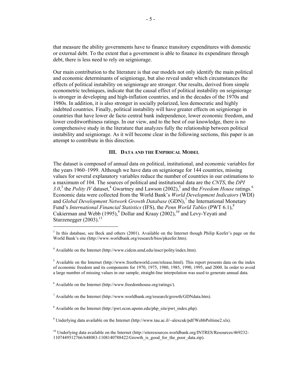that measure the ability governments have to finance transitory expenditures with domestic or external debt. To the extent that a government is able to finance its expenditure through debt, there is less need to rely on seigniorage.

Our main contribution to the literature is that our models not only identify the main political and economic determinants of seigniorage, but also reveal under which circumstances the effects of political instability on seigniorage are stronger. Our results, derived from simple econometric techniques, indicate that the causal effect of political instability on seigniorage is stronger in developing and high-inflation countries, and in the decades of the 1970s and 1980s. In addition, it is also stronger in socially polarized, less democratic and highly indebted countries. Finally, political instability will have greater effects on seigniorage in countries that have lower de facto central bank independence, lower economic freedom, and lower creditworthiness ratings. In our view, and to the best of our knowledge, there is no comprehensive study in the literature that analyzes fully the relationship between political instability and seigniorage. As it will become clear in the following sections, this paper is an attempt to contribute in this direction.

#### **III. DATA AND THE EMPIRICAL MODEL**

The dataset is composed of annual data on political, institutional, and economic variables for the years 1960–1999. Although we have data on seigniorage for 144 countries, missing values for several explanatory variables reduce the number of countries in our estimations to a maximum of 104. The sources of political and institutional data are the *CNTS*, the *DPI*  3.0,<sup>3</sup> the *Polity IV* dataset,<sup>4</sup> Gwartney and Lawson (2002),<sup>5</sup> and the *Freedom House* ratings.<sup>6</sup> Economic data were collected from the World Bank's *World Development Indicators* (WDI) and *Global Development Network Growth Database* (GDN),<sup>7</sup> the International Monetary Fund's *International Financial Statistics* (IFS), the *Penn World Tables* (PWT 6.1),<sup>8</sup> Cukierman and Webb  $(1995)$ , Dollar and Kraay  $(2002)$ , <sup>10</sup> and Levy-Yeyati and Sturzenegger  $(2003)$ .<sup>11</sup>  $\overline{a}$ 

<sup>&</sup>lt;sup>3</sup> In this database, see Beck and others (2001). Available on the Internet though Philip Keefer's page on the World Bank's site (<http://www.worldbank.org/research/bios/pkeefer.htm>).

<sup>&</sup>lt;sup>4</sup> Available on the Internet [\(http://www.cidcm.umd.edu/inscr/polity/index.htm](http://www.cidcm.umd.edu/inscr/polity/index.htm)).

 $<sup>5</sup>$  Available on the Internet [\(http://www.freetheworld.com/release.htm](http://www.freetheworld.com/release.html)l). This report presents data on the index</sup> of economic freedom and its components for 1970, 1975, 1980, 1985, 1990, 1995, and 2000. In order to avoid a large number of missing values in our sample, straight-line interpolation was used to generate annual data.

 $6$  Available on the Internet [\(http://www.freedomhouse.org/ratings](http://www.freedomhouse.org/ratings/)/).

<sup>&</sup>lt;sup>7</sup> Available on the Internet [\(http://www.worldbank.org/research/growth/GDNdata.htm](http://www.worldbank.org/research/growth/GDNdata.htm)).

<sup>&</sup>lt;sup>8</sup> Available on the Internet [\(http://pwt.econ.upenn.edu/php\\_site/pwt\\_index.php](http://pwt.econ.upenn.edu/php_site/pwt_index.php)).

<sup>&</sup>lt;sup>9</sup> Underlying data available on the Internet (<http://www.tau.ac.il/~alexcuk/pdf/WebbPoltime2.xls>).

<sup>&</sup>lt;sup>10</sup> Underlying data available on the Internet [\(http://siteresources.worldbank.org/INTRES/Resources/469232-](http://siteresources.worldbank.org/INTRES/Resources/469232-) 1107449512766/648083-1108140788422/Growth\_is\_good\_for\_the\_poor\_data.zip).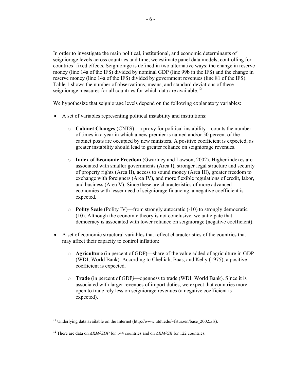In order to investigate the main political, institutional, and economic determinants of seigniorage levels across countries and time, we estimate panel data models, controlling for countries' fixed effects. Seigniorage is defined in two alternative ways: the change in reserve money (line 14a of the IFS) divided by nominal GDP (line 99b in the IFS) and the change in reserve money (line 14a of the IFS) divided by government revenues (line 81 of the IFS). Table 1 shows the number of observations, means, and standard deviations of these seigniorage measures for all countries for which data are available.<sup>12</sup>

We hypothesize that seigniorage levels depend on the following explanatory variables:

- A set of variables representing political instability and institutions:
	- o **Cabinet Changes** (CNTS)—a proxy for political instability—counts the number of times in a year in which a new premier is named and/or 50 percent of the cabinet posts are occupied by new ministers. A positive coefficient is expected, as greater instability should lead to greater reliance on seigniorage revenues.
	- o **Index of Economic Freedom** (Gwartney and Lawson, 2002). Higher indexes are associated with smaller governments (Area I), stronger legal structure and security of property rights (Area II), access to sound money (Area III), greater freedom to exchange with foreigners (Area IV), and more flexible regulations of credit, labor, and business (Area V). Since these are characteristics of more advanced economies with lesser need of seigniorage financing, a negative coefficient is expected.
	- o **Polity Scale** (Polity IV)—from strongly autocratic (-10) to strongly democratic (10). Although the economic theory is not conclusive, we anticipate that democracy is associated with lower reliance on seigniorage (negative coefficient).
- A set of economic structural variables that reflect characteristics of the countries that may affect their capacity to control inflation:
	- o **Agriculture** (in percent of GDP)—share of the value added of agriculture in GDP (WDI, World Bank). According to Chelliah, Baas, and Kelly (1975), a positive coefficient is expected.
	- o **Trade** (in percent of GDP*)—*openness to trade (WDI, World Bank). Since it is associated with larger revenues of import duties, we expect that countries more open to trade rely less on seigniorage revenues (a negative coefficient is expected).

<sup>&</sup>lt;sup>11</sup> Underlying data available on the Internet (http://www.utdt.edu/~fsturzen/base 2002.xls).

<sup>12</sup> There are data on *∆RM/GDP* for 144 countries and on *∆RM/GR* for 122 countries.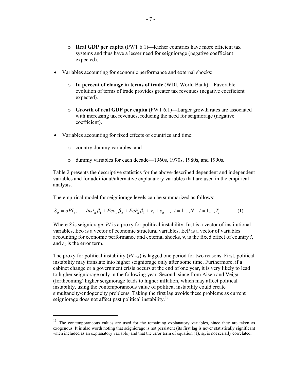- o **Real GDP per capita** (PWT 6.1)**—**Richer countries have more efficient tax systems and thus have a lesser need for seigniorage (negative coefficient expected).
- Variables accounting for economic performance and external shocks:
	- o **In percent of change in terms of trade** (WDI, World Bank)**—**Favorable evolution of terms of trade provides greater tax revenues (negative coefficient expected).
	- o **Growth of real GDP per capita** (PWT 6.1)**—**Larger growth rates are associated with increasing tax revenues, reducing the need for seigniorage (negative coefficient).
- Variables accounting for fixed effects of countries and time:
	- o country dummy variables; and

 $\overline{a}$ 

o dummy variables for each decade—1960s, 1970s, 1980s, and 1990s.

Table 2 presents the descriptive statistics for the above-described dependent and independent variables and for additional/alternative explanatory variables that are used in the empirical analysis.

The empirical model for seigniorage levels can be summarized as follows:

$$
S_{it} = \alpha P I_{i,t-1} + \text{Inst}_{it}^{'} \beta_1 + \text{Eco}_{it}^{'} \beta_2 + \text{EcP}_{it}^{'} \beta_3 + v_i + \varepsilon_{it} \quad , \quad i = 1,...,N \quad t = 1,...,T_i \tag{1}
$$

Where *S* is seigniorage, *PI* is a proxy for political instability, Inst is a vector of institutional variables, Eco is a vector of economic structural variables, EcP is a vector of variables accounting for economic performance and external shocks,  $v_i$  is the fixed effect of country  $i$ , and  $\varepsilon_{it}$  is the error term.

The proxy for political instability  $(PI_{i,t-1})$  is lagged one period for two reasons. First, political instability may translate into higher seigniorage only after some time. Furthermore, if a cabinet change or a government crisis occurs at the end of one year, it is very likely to lead to higher seigniorage only in the following year. Second, since from Aisen and Veiga (forthcoming) higher seigniorage leads to higher inflation, which may affect political instability, using the contemporaneous value of political instability could create simultaneity/endogeneity problems. Taking the first lag avoids these problems as current seigniorage does not affect past political instability.<sup>13</sup>

<sup>&</sup>lt;sup>13</sup> The contemporaneous values are used for the remaining explanatory variables, since they are taken as exogenous. It is also worth noting that seigniorage is not persistent (its first lag is never statistically significant when included as an explanatory variable) and that the error term of equation  $(1)$ ,  $\varepsilon_{it}$ , is not serially correlated.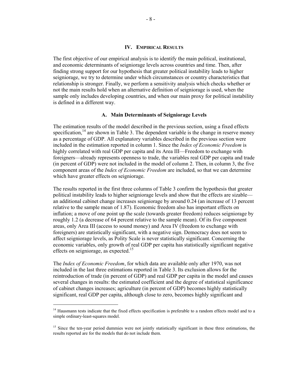#### **IV. EMPIRICAL RESULTS**

The first objective of our empirical analysis is to identify the main political, institutional, and economic determinants of seigniorage levels across countries and time. Then, after finding strong support for our hypothesis that greater political instability leads to higher seigniorage, we try to determine under which circumstances or country characteristics that relationship is stronger. Finally, we perform a sensitivity analysis which checks whether or not the main results hold when an alternative definition of seigniorage is used, when the sample only includes developing countries, and when our main proxy for political instability is defined in a different way.

#### **A. Main Determinants of Seigniorage Levels**

The estimation results of the model described in the previous section, using a fixed effects specification,  $14$  are shown in Table 3. The dependent variable is the change in reserve money as a percentage of GDP. All explanatory variables described in the previous section were included in the estimation reported in column 1. Since the *Index of Economic Freedom* is highly correlated with real GDP per capita and its Area III—Freedom to exchange with foreigners—already represents openness to trade, the variables real GDP per capita and trade (in percent of GDP) were not included in the model of column 2. Then, in column 3, the five component areas of the *Index of Economic Freedom* are included, so that we can determine which have greater effects on seigniorage.

The results reported in the first three columns of Table 3 confirm the hypothesis that greater political instability leads to higher seigniorage levels and show that the effects are sizable an additional cabinet change increases seigniorage by around 0.24 (an increase of 13 percent relative to the sample mean of 1.87). Economic freedom also has important effects on inflation; a move of one point up the scale (towards greater freedom) reduces seigniorage by roughly 1.2 (a decrease of 64 percent relative to the sample mean). Of its five component areas, only Area III (access to sound money) and Area IV (freedom to exchange with foreigners) are statistically significant, with a negative sign. Democracy does not seem to affect seigniorage levels, as Polity Scale is never statistically significant. Concerning the economic variables, only growth of real GDP per capita has statistically significant negative effects on seigniorage, as expected.<sup>15</sup>

The *Index of Economic Freedom*, for which data are available only after 1970, was not included in the last three estimations reported in Table 3. Its exclusion allows for the reintroduction of trade (in percent of GDP) and real GDP per capita in the model and causes several changes in results: the estimated coefficient and the degree of statistical significance of cabinet changes increases; agriculture (in percent of GDP) becomes highly statistically significant, real GDP per capita, although close to zero, becomes highly significant and

<sup>&</sup>lt;sup>14</sup> Hausmann tests indicate that the fixed effects specification is preferable to a random effects model and to a simple ordinary-least-squares model.

<sup>&</sup>lt;sup>15</sup> Since the ten-year period dummies were not jointly statistically significant in these three estimations, the results reported are for the models that do not include them.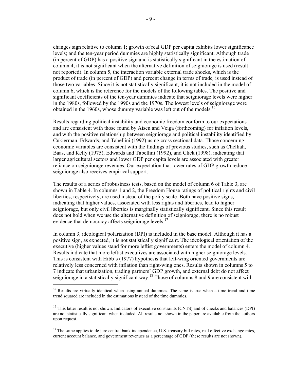changes sign relative to column 1; growth of real GDP per capita exhibits lower significance levels; and the ten-year period dummies are highly statistically significant. Although trade (in percent of GDP) has a positive sign and is statistically significant in the estimation of column 4, it is not significant when the alternative definition of seigniorage is used (result not reported). In column 5, the interaction variable external trade shocks, which is the product of trade (in percent of GDP) and percent change in terms of trade*,* is used instead of those two variables. Since it is not statistically significant, it is not included in the model of column 6, which is the reference for the models of the following tables. The positive and significant coefficients of the ten-year dummies indicate that seigniorage levels were higher in the 1980s, followed by the 1990s and the 1970s. The lowest levels of seigniorage were obtained in the 1960s, whose dummy variable was left out of the models.<sup>16</sup>

Results regarding political instability and economic freedom conform to our expectations and are consistent with those found by Aisen and Veiga (forthcoming) for inflation levels, and with the positive relationship between seigniorage and political instability identified by Cukierman, Edwards, and Tabellini (1992) using cross sectional data. Those concerning economic variables are consistent with the findings of previous studies, such as Chelliah, Baas, and Kelly (1975), Edwards and Tabellini (1992), and Click (1998), indicating that larger agricultural sectors and lower GDP per capita levels are associated with greater reliance on seigniorage revenues. Our expectation that lower rates of GDP growth reduce seigniorage also receives empirical support.

The results of a series of robustness tests, based on the model of column 6 of Table 3, are shown in Table 4. In columns 1 and 2, the Freedom House ratings of political rights and civil liberties, respectively, are used instead of the polity scale*.* Both have positive signs, indicating that higher values, associated with less rights and liberties, lead to higher seigniorage, but only civil liberties is marginally statistically significant. Since this result does not hold when we use the alternative definition of seigniorage, there is no robust evidence that democracy affects seigniorage levels.<sup>17</sup>

In column 3, ideological polarization (DPI) is included in the base model. Although it has a positive sign, as expected, it is not statistically significant. The ideological orientation of the executive (higher values stand for more leftist governments) enters the model of column 4. Results indicate that more leftist executives are associated with higher seigniorage levels. This is consistent with Hibb's (1977) hypothesis that left-wing oriented governments are relatively less concerned with inflation than right-wing ones. Results shown in columns 5 to 7 indicate that urbanization, trading partners' GDP growth, and external debt do not affect seigniorage in a statistically significant way.<sup>18</sup> Those of columns 8 and 9 are consistent with

<sup>&</sup>lt;sup>16</sup> Results are virtually identical when using annual dummies. The same is true when a time trend and time trend squared are included in the estimations instead of the time dummies.

 $17$  This latter result is not shown. Indicators of executive constraints (CNTS) and of checks and balances (DPI) are not statistically significant when included. All results not shown in the paper are available from the authors upon request.

<sup>&</sup>lt;sup>18</sup> The same applies to de jure central bank independence, U.S. treasury bill rates, real effective exchange rates, current account balance, and government revenues as a percentage of GDP (these results are not shown).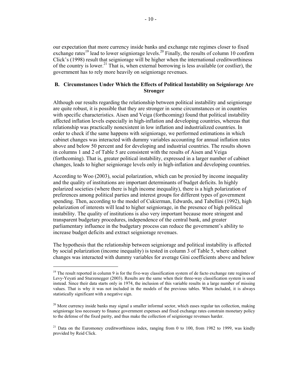our expectation that more currency inside banks and exchange rate regimes closer to fixed exchange rates<sup>19</sup> lead to lower seigniorage levels.<sup>20</sup> Finally, the results of column 10 confirm Click's (1998) result that seigniorage will be higher when the international creditworthiness of the country is lower.<sup>21</sup> That is, when external borrowing is less available (or costlier), the government has to rely more heavily on seigniorage revenues.

# **B. Circumstances Under Which the Effects of Political Instability on Seigniorage Are Stronger**

Although our results regarding the relationship between political instability and seigniorage are quite robust, it is possible that they are stronger in some circumstances or in countries with specific characteristics. Aisen and Veiga (forthcoming) found that political instability affected inflation levels especially in high-inflation and developing countries, whereas that relationship was practically nonexistent in low inflation and industrialized countries. In order to check if the same happens with seigniorage, we performed estimations in which cabinet changes was interacted with dummy variables accounting for annual inflation rates above and below 50 percent and for developing and industrial countries. The results shown in columns 1 and 2 of Table 5 are consistent with the results of Aisen and Veiga (forthcoming). That is, greater political instability, expressed in a larger number of cabinet changes, leads to higher seigniorage levels only in high-inflation and developing countries.

According to Woo (2003), social polarization, which can be proxied by income inequality and the quality of institutions are important determinants of budget deficits. In highly polarized societies (where there is high income inequality), there is a high polarization of preferences among political parties and interest groups for different types of government spending. Then, according to the model of Cukierman, Edwards, and Tabellini (1992), high polarization of interests will lead to higher seigniorage, in the presence of high political instability. The quality of institutions is also very important because more stringent and transparent budgetary procedures, independence of the central bank, and greater parliamentary influence in the budgetary process can reduce the government's ability to increase budget deficits and extract seigniorage revenues.

The hypothesis that the relationship between seigniorage and political instability is affected by social polarization (income inequality) is tested in column 3 of Table 5, where cabinet changes was interacted with dummy variables for average Gini coefficients above and below

<sup>&</sup>lt;sup>19</sup> The result reported in column 9 is for the five-way classification system of de facto exchange rate regimes of Levy-Yeyati and Sturzenegger (2003). Results are the same when their three-way classification system is used instead. Since their data starts only in 1974, the inclusion of this variable results in a large number of missing values. That is why it was not included in the models of the previous tables. When included, it is always statistically significant with a negative sign.

<sup>&</sup>lt;sup>20</sup> More currency inside banks may signal a smaller informal sector, which eases regular tax collection, making seigniorage less necessary to finance government expenses and fixed exchange rates constrain monetary policy to the defense of the fixed parity, and thus make the collection of seigniorage revenues harder.

 $21$  Data on the Euromoney creditworthiness index, ranging from 0 to 100, from 1982 to 1999, was kindly provided by Reid Click.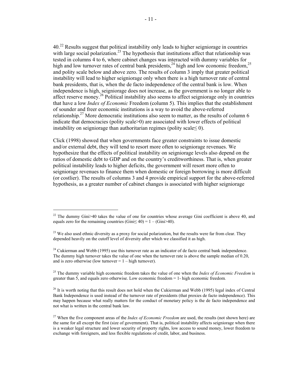40.22 Results suggest that political instability only leads to higher seigniorage in countries with large social polarization.<sup>23</sup> The hypothesis that institutions affect that relationship was tested in columns 4 to 6, where cabinet changes was interacted with dummy variables for high and low turnover rates of central bank presidents,<sup>24</sup> high and low economic freedom,<sup>25</sup> and polity scale below and above zero. The results of column 3 imply that greater political instability will lead to higher seigniorage only when there is a high turnover rate of central bank presidents, that is, when the de facto independence of the central bank is low. When independence is high, seigniorage does not increase, as the government is no longer able to affect reserve money.<sup>26</sup> Political instability also seems to affect seigniorage only in countries that have a low *Index of Economic* Freedom (column 5). This implies that the establishment of sounder and freer economic institutions is a way to avoid the above-referred relationship.<sup>27</sup> More democratic institutions also seem to matter, as the results of column 6 indicate that democracies (polity scale>0) are associated with lower effects of political

Click (1998) showed that when governments face greater constraints to issue domestic and/or external debt, they will tend to resort more often to seigniorage revenues. We hypothesize that the effects of political instability on seigniorage levels also depend on the ratios of domestic debt to GDP and on the country's creditworthiness. That is, when greater political instability leads to higher deficits, the government will resort more often to seigniorage revenues to finance them when domestic or foreign borrowing is more difficult (or costlier). The results of columns 3 and 4 provide empirical support for the above-referred hypothesis, as a greater number of cabinet changes is associated with higher seigniorage

instability on seigniorage than authoritarian regimes (polity scale  $\leq 0$ ).

 $\overline{a}$ 

25 The dummy variable high economic freedom takes the value of one when the *Index of Economic Freedom* is greater than 5, and equals zero otherwise. Low economic freedom = 1- high economic freedom*.* 

<sup>&</sup>lt;sup>22</sup> The dummy Gini $>40$  takes the value of one for countries whose average Gini coefficient is above 40, and equals zero for the remaining countries (Gini $\leq$  40) = 1 – (Gini $>$ 40).

 $^{23}$  We also used ethnic diversity as a proxy for social polarization, but the results were far from clear. They depended heavily on the cutoff level of diversity after which we classified it as high.

<sup>&</sup>lt;sup>24</sup> Cukierman and Webb (1995) use this turnover rate as an indicator of de facto central bank independence. The dummy high turnover takes the value of one when the turnover rate is above the sample median of 0.20, and is zero otherwise (low turnover  $= 1 -$  high turnover).

 $^{26}$  It is worth noting that this result does not hold when the Cukierman and Webb (1995) legal index of Central Bank Independence is used instead of the turnover rate of presidents (that proxies de facto independence). This may happen because what really matters for the conduct of monetary policy is the de facto independence and not what is written in the central bank law.

<sup>27</sup> When the five component areas of the *Index of Economic Freedom* are used, the results (not shown here) are the same for all except the first (size of government). That is, political instability affects seigniorage when there is a weaker legal structure and lower security of property rights, low access to sound money, lower freedom to exchange with foreigners, and less flexible regulations of credit, labor, and business.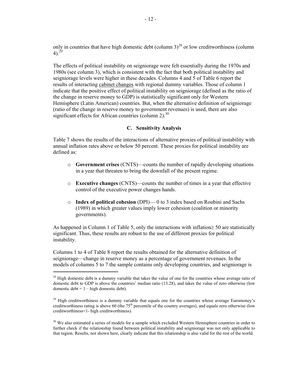only in countries that have high domestic debt (column  $3)^{28}$  or low creditworthiness (column  $4)$ .<sup>29</sup>

The effects of political instability on seigniorage were felt essentially during the 1970s and 1980s (see column 3), which is consistent with the fact that both political instability and seigniorage levels were higher in these decades. Columns 4 and 5 of Table 6 report the results of interacting cabinet changes with regional dummy variables. Those of column 1 indicate that the positive effect of political instability on seigniorage (defined as the ratio of the change in reserve money to GDP) is statistically significant only for Western Hemisphere (Latin American) countries. But, when the alternative definition of seigniorage (ratio of the change in reserve money to government revenues) is used, there are also significant effects for African countries (column  $2$ ).<sup>30</sup>

#### **C. Sensitivity Analysis**

Table 7 shows the results of the interactions of alternative proxies of political instability with annual inflation rates above or below 50 percent. These proxies for political instability are defined as:

- o **Government crises** (CNTS)—counts the number of rapidly developing situations in a year that threaten to bring the downfall of the present regime.
- o **Executive changes** (CNTS)—counts the number of times in a year that effective control of the executive power changes hands.
- o **Index of political cohesion** (DPI)— 0 to 3 index based on Roubini and Sachs (1989) in which greater values imply lower cohesion (coalition or minority governments).

As happened in Column 1 of Table 5, only the interactions with inflation≥ 50 are statistically significant. Thus, these results are robust to the use of different proxies for political instability.

Columns 1 to 4 of Table 8 report the results obtained for the alternative definition of seigniorage—change in reserve money as a percentage of government revenues. In the models of columns 5 to 7 the sample contains only developing countries, and seigniorage is

 $28$  High domestic debt is a dummy variable that takes the value of one for the countries whose average ratio of domestic debt to GDP is above the countries' median ratio (13.28), and takes the value of zero otherwise (low domestic debt = 1 – high domestic debt)*.* 

 $29$  High creditworthiness is a dummy variable that equals one for the countries whose average Euromoney's creditworthiness rating is above 60 (the  $75<sup>th</sup>$  percentile of the country averages), and equals zero otherwise (low creditworthiness=1- high creditworthiness)*.*

<sup>&</sup>lt;sup>30</sup> We also estimated a series of models for a sample which excluded Western Hemisphere countries in order to further check if the relationship found between political instability and seigniorage was not only applicable to that region. Results, not shown here, clearly indicate that this relationship is also valid for the rest of the world.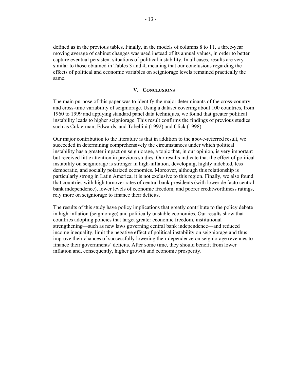defined as in the previous tables. Finally, in the models of columns 8 to 11, a three-year moving average of cabinet changes was used instead of its annual values, in order to better capture eventual persistent situations of political instability. In all cases, results are very similar to those obtained in Tables 3 and 4, meaning that our conclusions regarding the effects of political and economic variables on seigniorage levels remained practically the same.

## **V. CONCLUSIONS**

The main purpose of this paper was to identify the major determinants of the cross-country and cross-time variability of seigniorage. Using a dataset covering about 100 countries, from 1960 to 1999 and applying standard panel data techniques, we found that greater political instability leads to higher seigniorage. This result confirms the findings of previous studies such as Cukierman, Edwards, and Tabellini (1992) and Click (1998).

Our major contribution to the literature is that in addition to the above-referred result, we succeeded in determining comprehensively the circumstances under which political instability has a greater impact on seigniorage, a topic that, in our opinion, is very important but received little attention in previous studies. Our results indicate that the effect of political instability on seigniorage is stronger in high-inflation, developing, highly indebted, less democratic, and socially polarized economies. Moreover, although this relationship is particularly strong in Latin America, it is not exclusive to this region. Finally, we also found that countries with high turnover rates of central bank presidents (with lower de facto central bank independence), lower levels of economic freedom, and poorer creditworthiness ratings, rely more on seigniorage to finance their deficits.

The results of this study have policy implications that greatly contribute to the policy debate in high-inflation (seigniorage) and politically unstable economies. Our results show that countries adopting policies that target greater economic freedom, institutional strengthening—such as new laws governing central bank independence—and reduced income inequality, limit the negative effect of political instability on seigniorage and thus improve their chances of successfully lowering their dependence on seigniorage revenues to finance their governments' deficits. After some time, they should benefit from lower inflation and, consequently, higher growth and economic prosperity.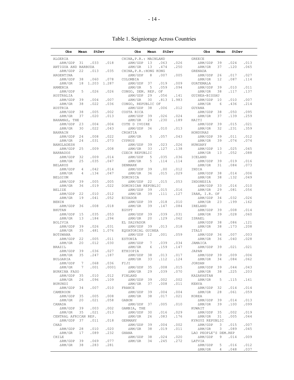# Table 1. Seigniorage Across Countries

| Obs                        | Mean            | StDev          |            | Obs                     | Mean        | StDev |              | Obs                          | Mean              | StDev |      |
|----------------------------|-----------------|----------------|------------|-------------------------|-------------|-------|--------------|------------------------------|-------------------|-------|------|
| ALGERIA                    |                 |                |            | CHINA, P.R.: MAINLAND   |             |       |              | <b>GREECE</b>                |                   |       |      |
| $\triangle RM/GDP$ 31      |                 | .033           | .018       | $\triangle RM/GDP$ 13   |             | .063  | .026         | $\triangle RM/GDP$ 39        |                   | .024  | .013 |
| ANTIGUA AND BARBUDA        |                 |                |            | $\triangle$ RM/GR 13    |             | .474  | .250         | $\Delta$ RM/GR               | 37                | .120  | .065 |
| $\triangle RM/GDP$ 22      |                 |                |            | CHINA, P.R. : HONG KONG |             |       |              |                              |                   |       |      |
|                            |                 | .013           | .035       |                         |             |       |              | GRENADA                      |                   |       |      |
| ARGENTINA                  |                 |                |            | $\Delta RM/GDP$         | 8           | .007  | .005         | $\Delta \rm RM/GDP$          | 26                | .017  | .027 |
| $\triangle RM/GDP$ 38      |                 | .060           | .078       | COLOMBIA                |             |       |              | $\Delta \rm RM/GR$           | $12 \overline{ }$ | .087  | .114 |
| $\Delta \rm RM/GR$         |                 | 18 1.203 1.287 |            | $\triangle RM/GDP$ 37   |             | .019  | .009         | GUATEMALA                    |                   |       |      |
| ARMENIA                    |                 |                |            | $\Delta RM/GR$          | 5           | .059  | .094         | $\triangle RM/GDP$ 39        |                   | .010  | .011 |
| $\triangle RM/GDP$ 5       |                 | .026           | .026       | CONGO, DEM. REP. OF     |             |       |              | $\Delta$ RM/GR               | 38                | .117  | .137 |
| AUSTRALIA                  |                 |                |            | $\triangle RM/GDP$ 29   |             | .056  | .141         | GUINEA-BISSAU                |                   |       |      |
| $\Delta RM/GDP$ 39         |                 | .004           | .007       | $\Delta \rm RM/GR$      | 30          |       | $.813$ 1.983 | ARM/GDP 10                   |                   | .010  | .007 |
| $\Delta \rm RM/GR$         | 38              | .022           | .036       | CONGO, REPUBLIC OF      |             |       |              | $\Delta$ RM/GR               | 6                 | .436  | .214 |
|                            |                 |                |            | $\triangle RM/GDP$ 38   |             | .006  |              |                              |                   |       |      |
| AUSTRIA                    |                 |                |            |                         |             |       | .012         | GUYANA                       |                   |       |      |
| $\triangle RM/GDP$ 38      |                 | .005           | .002       | COSTA RICA              |             |       |              | $\Delta \rm RM/GDP$          | 38                | .050  | .095 |
| $\Delta \rm RM/GR$         | 37              | .020           | .013       | $\triangle RM/GDP$ 39   |             | .026  | .024         | $\Delta \rm RM/GR$           | 37                | .139  | .259 |
| BAHAMAS, THE               |                 |                |            | $\Delta \rm RM/GR$      | 29          | .230  | .189         | HAITI                        |                   |       |      |
| $\triangle RM/GDP$ 23      |                 | .004           | .004       | COTE D IVOIRE           |             |       |              | $\Delta \rm RM/GDP$          | 39                | .015  | .021 |
| $\Delta {\rm RM}/{\rm GR}$ | 30              | .022           | .043       | $\triangle$ RM/GDP 36   |             | .010  | .013         | $\Delta \rm RM/GR$           | 32                | .231  | .359 |
| <b>BAHRAIN</b>             |                 |                |            | CROATIA                 |             |       |              | HONDURAS                     |                   |       |      |
| $\triangle RM/GDP$ 24      |                 | .008           | .022       | $\Delta \rm RM/GR$      | 5           | .057  | .043         | $\Delta \rm RM/GDP$          | 39                | .011  | .012 |
|                            |                 |                |            |                         |             |       |              |                              |                   |       |      |
| $\Delta \rm RM/GR$         | 24              | .031           | .073       | CYPRUS                  |             |       |              | $\Delta \text{RM}/\text{GR}$ | 39                | .074  | .074 |
| BANGLADESH                 |                 |                |            | $\triangle RM/GDP$ 39   |             | .023  | .026         | HUNGARY                      |                   |       |      |
| $\triangle RM/GDP$ 25      |                 | .009           | .008       | $\Delta \rm RM/GR$      | 33          | .127  | .138         | $\triangle RM/GDP$ 13        |                   | .025  | .045 |
| <b>BARBADOS</b>            |                 |                |            | CZECH REPUBLIC          |             |       |              | $\Delta \text{RM}/\text{GR}$ | 13                | .052  | .088 |
| $\triangle RM/GDP$ 32      |                 | .009           | .014       | $\Delta RM/GDP$         |             | 5.035 | .036         | ICELAND                      |                   |       |      |
| $\Delta \rm RM/GR$         | 25              | .035           | .047       | $\Delta \rm RM/GR$      | 5           | .114  | .114         | $\triangle RM/GDP$ 39        |                   | .019  | .016 |
| <b>BELARUS</b>             |                 |                |            | <b>DENMARK</b>          |             |       |              | $\Delta \rm RM/GR$           | 31                | .084  | .073 |
| $\Delta \rm RM/GDP$        | $\overline{4}$  | .042           | .014       | $\Delta$ RM/GDP 39      |             | .00   | .012         | INDIA                        |                   |       |      |
|                            |                 |                |            |                         |             |       |              |                              |                   |       |      |
| $\Delta \rm RM/GR$         | $\overline{4}$  | .134           | .047       | $\Delta$ RM/GR          | 36          | .015  | .029         | $\triangle RM/GDP$ 38        |                   | .014  | .006 |
| <b>BELGIUM</b>             |                 |                |            | DOMINICA                |             |       |              | $\Delta \rm RM/GR$           | 38                | .132  | .049 |
| $\triangle RM/GDP$ 39      |                 | .005           | .005       | $\triangle RM/GDP$ 22   |             | .015  | .053         | INDONESIA                    |                   |       |      |
| $\Delta \rm RM/GR$         | 36              | .019           | .022       | DOMINICAN REPUBLIC      |             |       |              | $\triangle RM/GDP$ 33        |                   | .016  | .010 |
| <b>BELIZE</b>              |                 |                |            | $\triangle RM/GDP$ 39   |             | .015  | .016         | $\Delta RM/GR$               | 29                | .081  | .056 |
| $\Delta RM/GDP$ 22         |                 | .010           | .012       | $\Delta \rm RM/GR$      | 39          | .111  | .127         | IRAN, I.R. OF                |                   |       |      |
| $\Delta \rm RM/GR$         | 19              | .041           | .052       | <b>ECUADOR</b>          |             |       |              | $\triangle RM/GDP$ 34        |                   | .032  | .026 |
| <b>BENIN</b>               |                 |                |            | $\triangle RM/GDP$ 39   |             | .018  |              | $\Delta \rm RM/GR$           | 23                | .199  | .162 |
|                            |                 |                |            |                         |             |       | .010         |                              |                   |       |      |
| $\Delta RM/GDP$ 36         |                 | .008           | .018       | $\Delta \rm RM/GR$      | 39          | .147  | .084         | IRELAND                      |                   |       |      |
| <b>BHUTAN</b>              |                 |                |            | EGYPT                   |             |       |              | ∆RM/GDP                      | 39                | .008  | .014 |
| $\triangle RM/GDP$ 15      |                 | .035           | .053       | $\Delta RM/GDP$ 39      |             | .039  | .031         | $\Delta \rm RM/GR$           | 39                | .028  | .060 |
| $\Delta \rm RM/GR$         | 13              | .184           | .294       | $\Delta \rm RM/GR$      | 20          | .129  | .062         | ISRAEL                       |                   |       |      |
| <b>BOLIVIA</b>             |                 |                |            | EL SALVADOR             |             |       |              | $\Delta \rm RM/GDP$          | 38                | .086  | .121 |
| $\triangle RM/GDP$ 39      |                 | .026           | .031       | $\Delta$ RM/GDP 39      |             | .013  | .018         | $\Delta \rm RM/GR$           | 38                | .173  | .208 |
| $\Delta \rm RM/GR$         | 35              |                | .481 1.076 | EQUATORIAL GUINEA       |             |       |              | ITALY                        |                   |       |      |
| BOTSWANA                   |                 |                |            | △RM/GDP 12              |             | .001  | .059         | $\Delta \rm RM/GDP$          | 36                | .007  | .003 |
|                            |                 |                |            |                         |             |       |              |                              |                   |       |      |
| $\triangle RM/GDP$ 22      |                 | .005           | .011       | <b>ESTONIA</b>          |             |       |              | $\Delta RM/GR$               | 36                | .040  | .028 |
| $\Delta \rm RM/GR$         | 20              | .012           | .030       | $\Delta \rm RM/ GDP$    | $7^{\circ}$ | .039  | .034         | JAMAICA                      |                   |       |      |
| <b>BRAZIL</b>              |                 |                |            | $\Delta$ RM/GR          | 6           | .159  | .147         | $\Delta RM/GDP$              | 39                | .021  | .021 |
| $\triangle RM/GDP$ 39      |                 | .036           | .027       | ETHIOPIA                |             |       |              | JAPAN                        |                   |       |      |
| $\Delta \rm RM/GR$         | 35              | .247           | .187       | $\triangle RM/GDP$ 38   |             | .013  | .017         | $\Delta \rm RM/GDP$          | 39                | .009  | .006 |
| <b>BULGARIA</b>            |                 |                |            | $\Delta$ RM/GR          | 33          | .112  | .124         | $\triangle$ RM/GR            | 34                | .084  | .062 |
| $\Delta RM/GDP$            | $7\phantom{.0}$ | .068           | .036       | FIJI                    |             |       |              | <b>JORDAN</b>                |                   |       |      |
| $\Delta RM/GR$             | 7               | .001           | .0001      | $\triangle RM/GDP$ 35   |             | .008  | .015         | $\Delta \rm RM/GDP$          | 39                | .044  | .043 |
|                            |                 |                |            |                         |             |       |              |                              |                   |       |      |
| BURKINA FASO               |                 |                |            | $\Delta$ RM/GR          | 29          | .039  | .070         | $\Delta$ RM/GR               | 38                | .225  | .203 |
| $\Delta RM/GDP$            | 35              | .010           | .012       | FINLAND                 |             |       |              | KAZAKHSTAN                   |                   |       |      |
| $\Delta \rm RM/GR$         | 26              | .096           | .109       | $\triangle RM/GDP$      | 39          | .002  | .002         | $\Delta$ RM/GR               | 5                 | .115  | .161 |
| <b>BURUNDI</b>             |                 |                |            | $\Delta$ RM/GR          | 37          | .008  | .011         | KENYA                        |                   |       |      |
| $\Delta RM/GDP$            | 34              | .007           | .010       | FRANCE                  |             |       |              | $\Delta RM/GDP$              | 32                | .014  | .014 |
| CAMEROON                   |                 |                |            | $\Delta RM/GDP$         | 39          | .004  | .004         | $\triangle$ RM/GR            | 28                | .061  | .059 |
| $\Delta RM/GDP$            | 35              | .005           | .008       | $\Delta RM/GR$          | 38          | .017  | .021         | KOREA                        |                   |       |      |
|                            |                 |                |            |                         |             |       |              |                              |                   |       |      |
| $\Delta RM/GR$             | 20              | .021           | .058       | <b>GABON</b>            |             |       |              | $\triangle RM/GDP$           | 39                | .014  | .013 |
| CANADA                     |                 |                |            | $\triangle RM/GDP$      | 37          | .005  | .010         | $\Delta$ RM/GR               | 39                | .100  | .099 |
| $\Delta RM/GDP$            | 39              | .003           | .002       | GAMBIA, THE             |             |       |              | KUWAIT                       |                   |       |      |
| $\Delta RM/GR$             | 35              | .021           | .013       | $\Delta RM/GDP$         | 30          | .016  | .029         | $\Delta RM/GDP$              | 35                | .002  | .019 |
| CENTRAL AFRICAN REP.       |                 |                |            | $\Delta \rm RM/GR$      | 26          | .083  | .176         | $\triangle$ RM/GR            | 31                | .005  | .044 |
| $\Delta RM/GDP$            | 37              | .011           | .018       | GERMANY                 |             |       |              | KYRGYZ REPUBLIC              |                   |       |      |
| CHAD                       |                 |                |            | $\Delta \rm RM/GDP$     | 39          | .004  | .002         | $\Delta RM/GDP$              | 3                 | .015  | .007 |
|                            |                 |                |            |                         |             |       |              |                              |                   |       |      |
| $\Delta RM/GDP$            | 28              | .010           | .020       | $\Delta RM/GR$          | 38          | .019  | .011         | $\triangle RM/GR$            | 3                 | .089  | .045 |
| $\Delta \rm RM/GR$         | 17              | .089           | .232       | GHANA                   |             |       |              | LAO PEOPLE'S DEM.REP         |                   |       |      |
| CHILE                      |                 |                |            | $\Delta RM/GDP$         | 38          | .024  | .020         | $\Delta RM/GDP$              | 9                 | .014  | .009 |
| $\Delta RM/GDP$            | 39              | .069           | .077       | $\Delta \rm RM/GR$      | 34          | .245  | .272         | LATVIA                       |                   |       |      |
| $\Delta \rm RM/GR$         | 38              | .283           | .281       |                         |             |       |              | $\Delta RM/GDP$              | 5                 | .016  | .012 |
|                            |                 |                |            |                         |             |       |              |                              |                   |       |      |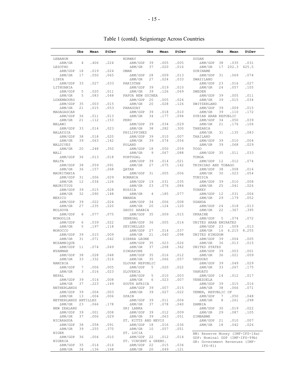|                                   | Obs             | Mean         | StDev |                                                 | Obs      | Mean         | StDev        |                                           | Obs      | Mean         | StDev        |
|-----------------------------------|-----------------|--------------|-------|-------------------------------------------------|----------|--------------|--------------|-------------------------------------------|----------|--------------|--------------|
| LEBANON                           |                 |              |       | NORWAY                                          |          |              |              | SUDAN                                     |          |              |              |
| $\Delta RM/GR$                    | 4               | .406         | .224  | $\Delta RM/GDP$                                 | 39       | .005         | .005         | $\Delta RM/GDP$                           | 38       | .035         | .031         |
| LESOTHO                           |                 |              |       | $\triangle$ RM/GR                               | 37       | .020         | .016         | $\triangle$ RM/GR                         | 17       | 202.3        | 425.5        |
| $\triangle RM/GDP$                | 18              | .019         | .024  | OMAN                                            |          |              |              | SURINAME                                  |          |              |              |
| $\Delta$ RM/GR                    | 17              | .050         | .065  | $\Delta RM/GDP$                                 | 28       | .009         | .013         | $\triangle RM/GDP$                        | 31       | .069         | .074         |
| LIBYA                             |                 |              |       | $\triangle$ RM/GR                               | 27       | .024         | .033         | SWAZILAND                                 |          |              |              |
| $\Delta RM/GDP$<br>LITHUANIA      | 33              | .027         | .033  | PAKISTAN<br>$\Delta RM/GDP$                     | 39       | .019         | .010         | $\triangle RM/GDP$<br>$\Delta RM/GR$      | 23<br>24 | .016<br>.057 | .027<br>.105 |
| $\triangle RM/GDP$                | 5               | .020         | .011  | $\triangle$ RM/GR                               | 39       | .126         | .069         | SWEDEN                                    |          |              |              |
| $\triangle RM/GR$                 | 5               | .083         | .048  | PAPUA NEW GUINEA                                |          |              |              | $\triangle RM/GDP$                        | 39       | .005         | .011         |
| LUXEMBOURG                        |                 |              |       | $\triangle RM/GDP$                              | 20       | .005         | .024         | $\triangle$ RM/GR                         | 39       | .015         | .034         |
| $\Delta RM/GDP$                   | 35              | .003         | .015  | $\Delta$ RM/GR                                  | 20       | .028         | .126         | SWITZERLAND                               |          |              |              |
| $\triangle$ RM/GR                 | 21              | .015         | .053  | PARAGUAY                                        |          |              |              | $\triangle RM/GDP$                        | 39       | .009         | .015         |
| MADAGASCAR                        |                 |              |       | $\triangle RM/GDP$                              | 39       | .018         | .010         | $\triangle$ RM/GR                         | 39       | .110         | .172         |
| $\triangle RM/GDP$                | 36              | .011         | .013  | $\Delta$ RM/GR                                  | 34       | .177         | .094         | SYRIAN ARAB REPUBLIC                      |          |              |              |
| $\triangle$ RM/GR<br>MALAWI       | 21              | .112         | .153  | PERU<br>$\triangle RM/GDP$                      | 39       | .034         | .029         | $\Delta RM/GDP$<br>$\triangle$ RM/GR      | 34<br>21 | .050<br>.176 | .039<br>.106 |
| $\Delta RM/GDP$                   | 33              | .014         | .023  | $\triangle$ RM/GR                               | 38       | .282         | .300         | TANZANIA                                  |          |              |              |
| MALAYSIA                          |                 |              |       | PHILIPPINES                                     |          |              |              | $\triangle RM/GR$                         | 31       | .135         | .083         |
| $\Delta RM/GDP$                   | 38              | .018         | .020  | $\triangle RM/GDP$                              | 39       | .010         | .007         | THAILAND                                  |          |              |              |
| $\triangle RM/GR$                 | 39              | .063         | .142  | $\Delta$ RM/GR                                  | 39       | .074         | .054         | $\Delta RM/GDP$                           | 39       | .010         | .004         |
| MALDIVES                          |                 |              |       | POLAND                                          |          |              |              | $\Delta$ RM/GR                            | 39       | .068         | .029         |
| $\triangle RM/GR$                 | 20              | .248         | .350  | $\triangle RM/GDP$                              | 18       | .050         | .059         | <b>TOGO</b>                               |          |              |              |
| MALI                              |                 |              |       | $\Delta$ RM/GR                                  | 9        | .067         | .088         | $\triangle RM/GDP$                        | 35       | .011         | .033         |
| $\triangle RM/GDP$                | 36              | .013         | .018  | PORTUGAL                                        |          | .014         |              | TONGA                                     |          | .012         | .074         |
| MALTA<br>$\Delta RM/GDP$          | 38              | .059         | .091  | $\triangle RM/GDP$<br>$\triangle$ RM/GR         | 39<br>27 | .075         | .021<br>.142 | $\triangle RM/GDP$<br>TRINIDAD AND TOBAGO | 12       |              |              |
| $\Delta$ RM/GR                    | 36              | .157         | .268  | <b>OATAR</b>                                    |          |              |              | $\Delta RM/GDP$                           | 38       | .008         | .016         |
| MAURITANIA                        |                 |              |       | $\triangle RM/GDP$                              | 31       | .005         | .006         | $\triangle$ RM/GR                         | 30       | .023         | .054         |
| $\Delta RM/GDP$                   | 31              | .006         | .029  | ROMANIA                                         |          |              |              | TUNISIA                                   |          |              |              |
| $\triangle$ RM/GR                 | 12              | .034         | .126  | $\triangle RM/GDP$                              | 19       | .031         | .035         | $\Delta RM/GDP$                           | 39       | .010         | .008         |
| MAURITIUS                         |                 |              |       | $\triangle$ RM/GR                               | 23       | .076         | .084         | $\triangle$ RM/GR                         | 25       | .041         | .026         |
| $\Delta RM/GDP$                   | 39              | .015         | .028  | RUSSIA                                          |          |              |              | TURKEY                                    |          |              |              |
| $\triangle$ RM/GR                 | 32              | .090         | .148  | $\Delta RM/GR$                                  | 4        | .185         | .077         | $\triangle RM/GDP$                        | 12       | .031         | .006         |
| MEXICO<br>$\triangle RM/GDP$      | 39              | .022         | .024  | <b>RWANDA</b><br>$\triangle RM/GDP$             | 34       | .006         | .008         | $\triangle$ RM/GR<br><b>UGANDA</b>        | 29       | .179         | .052         |
| $\Delta$ RM/GR                    | 27              | .235         | .220  | $\Delta RM/GR$                                  | 20       | .124         | .120         | $\Delta RM/GDP$                           | 24       | .018         | .013         |
| MOLDOVA                           |                 |              |       | SAUDI ARABIA                                    |          |              |              | $\triangle$ RM/GR                         | 22       | .367         | .395         |
| $\Delta RM/GDP$                   | 6               | .077         | .075  | $\triangle RM/GDP$                              | 35       | .009         | .015         | UKRAINE                                   |          |              |              |
| MONGOLIA                          |                 |              |       | SENEGAL                                         |          |              |              | $\Delta RM/GDP$                           | 5        | .074         | .072         |
| $\Delta RM/GDP$                   | 6               | .039         | .022  | $\triangle RM/GDP$                              | 36       | .005         | .014         | UNITED ARAB EMIRATES                      |          |              |              |
| $\triangle$ RM/GR                 | 5               | .197         | .118  | SEYCHELLES                                      |          |              |              | $\triangle RM/GDP$                        | 23       | .009         | .013         |
| MOROCCO                           |                 |              |       | $\Delta RM/GDP$                                 | 27       | .014         | .037         | $\Delta RM/GR$                            | 16       | 4.215        | 8.255        |
| $\Delta RM/GDP$<br>$\Delta RM/GR$ | 39<br>31        | .015<br>.071 | .009  | $\triangle$ RM/GR<br>SIERRA LEONE               | 21       | .040         | .098         | UNITED KINGDOM<br>$\triangle RM/GDP$      | 39       | .004         | .005         |
| MOZAMBIQUE                        |                 |              | .042  | $\Delta RM/GDP$                                 | 35       | .023         | .026         | $\Delta$ RM/GR                            | 36       | .013         | .015         |
| $\Delta RM/GDP$                   | 11              | .074         | .049  | $\Delta$ RM/GR                                  | 37       | .268         | .362         | UNITED STATES                             |          |              |              |
| <b>MYANMAR</b>                    |                 |              |       | SINGAPORE                                       |          |              |              | $\Delta RM/GDP$                           | 39       | .003         | .001         |
| $\triangle RM/GDP$                | 38              | .028         | .048  | $\Delta RM/GDP$                                 | 35       | .016         | .012         | $\Delta$ RM/GR                            | 36       | .021         | .009         |
| $\triangle$ RM/GR                 | 33              | .332         | .516  | $\Delta$ RM/GR                                  | 35       | .066         | .057         | URUGUAY                                   |          |              |              |
| NAMIBIA                           |                 |              |       | SLOVAK REPUBLIC                                 |          |              |              | $\Delta RM/GDP$                           | 39       | .049         | .029         |
| $\Delta RM/GDP$                   | $7\phantom{.0}$ | .006         | .005  | $\Delta RM/GDP$                                 | 5        | .020         | .022         | $\Delta \text{RM}/\text{GR}$              | 33       | .267         | .175         |
| $\Delta \rm RM/GR$                | 3               | .016         | .023  | SLOVENIA                                        |          |              |              | VANUATU                                   |          |              |              |
| NEPAL<br>$\Delta \rm RM/GDP$      | 39              | .014         | .008  | $\Delta RM/GDP$<br>$\Delta \text{RM}/\text{GR}$ | 5<br>6   | .010<br>.023 | .003<br>.007 | $\Delta \rm RM/GDP$<br>VENEZUELA          | 14       | .012         | .017         |
| $\triangle RM/GR$                 | 37              | .223         | .149  | SOUTH AFRICA                                    |          |              |              | $\Delta \rm RM/GDP$                       | 39       | .015         | .016         |
| NETHERLANDS                       |                 |              |       | $\Delta \rm RM/GDP$                             | 39       | .007         | .015         | $\triangle RM/GR$                         | 38       | .066         | .071         |
| ARM/GDP 39                        |                 | .004         | .003  | $\Delta \rm RM/GR$                              | 39       | .027         | .022         | YEMEN, REPUBLIC OF                        |          |              |              |
| $\Delta \rm RM/GR$                | 13              | .004         | .006  | SPAIN                                           |          |              |              | $\Delta RM/GDP$                           | 7        | .050         | .048         |
| NETHERLANDS ANTILLES              |                 |              |       | $\triangle RM/GDP$                              | 39       | .011         | .004         | $\Delta RM/GR$                            | 8        | .261         | .298         |
| $\Delta RM/GR$                    | 23              | .066         | .178  | $\Delta \rm RM/GR$                              | 37       | .078         | .040         | ZAMBIA                                    |          |              |              |
| NEW ZEALAND                       |                 |              |       | SRI LANKA                                       |          |              |              | $\Delta RM/GDP$                           | 30       | .019         | .022         |
| $\Delta \rm RM/GDP$               | 39<br>37        | .001         | .008  | $\Delta \rm RM/GDP$<br>$\Delta \rm RM/GR$       | 39       | .012         | .009         | $\Delta RM/GR$                            | 29       | .087         | .105         |
| $\Delta \rm RM/GR$<br>NICARAGUA   |                 | .006         | .029  | ST. KITTS AND NEVIS                             | 39       | .063         | .051         | ZIMBABWE<br>$\Delta \rm RM/GDP$           | 21       | .010         | .007         |
| $\Delta \rm RM/GDP$               | 38              | .058         | .091  | $\Delta \rm RM/GDP$                             | 18       | .016         | .036         | $\Delta \rm RM/GR$                        | 18       | .042         | .026         |
| $\Delta \rm RM/GR$                | 39              | .255         | .370  | $\Delta RM/GR$                                  | 10       | .057         | .051         |                                           |          |              |              |
| NIGER                             |                 |              |       | ST. LUCIA                                       |          |              |              | RM: Reserve Money (IMF-IFS-14a)           |          |              |              |
| $\Delta RM/GDP$                   | 36              | .004         | .010  | $\Delta \rm RM/GDP$                             | 22       | .012         | .014         | GDP: Nominal GDP (IMF-IFS-99b)            |          |              |              |
| NIGERIA                           |                 |              |       | ST. VINCENT & GRENS.                            |          |              |              | GR: Government Revenues (IMF-             |          |              |              |
| $\Delta RM/GDP$                   | 35              | .014         | .016  | $\Delta RM/GDP$                                 | 22       | .015         | .034         | $IFS-81)$                                 |          |              |              |
| $\Delta \rm RM/GR$                | 34              | .136         | .168  | $\Delta \rm RM/GR$                              | 20       | .049         | .121         |                                           |          |              |              |

# Table 1 (contd). Seigniorage Across Countries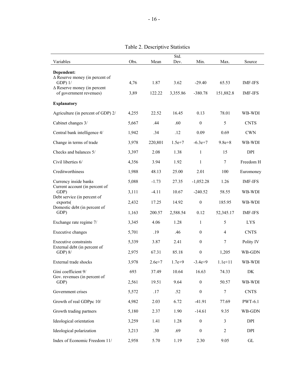| Variables                                                     | Obs.  | Mean     | Std.<br>Dev. | Min.             | Max.             | Source         |
|---------------------------------------------------------------|-------|----------|--------------|------------------|------------------|----------------|
| Dependent:                                                    |       |          |              |                  |                  |                |
| $\Delta$ Reserve money (in percent of<br>$GDP$ ) $1/$         | 4,76  | 1.87     | 3.62         | $-29.40$         | 65.53            | <b>IMF-IFS</b> |
| $\Delta$ Reserve money (in percent<br>of government revenues) | 3,89  | 122.22   | 3,355.86     | $-380.78$        | 151,882.8        | <b>IMF-IFS</b> |
| <b>Explanatory</b>                                            |       |          |              |                  |                  |                |
| Agriculture (in percent of GDP) 2/                            | 4,255 | 22.52    | 16.45        | 0.13             | 78.01            | WB-WDI         |
| Cabinet changes 3/                                            | 5,667 | .44      | .60          | $\mathbf{0}$     | 5                | <b>CNTS</b>    |
| Central bank intelligence 4/                                  | 1,942 | .34      | .12          | 0.09             | 0.69             | <b>CWN</b>     |
| Change in terms of trade                                      | 3,978 | 220,801  | $1.5e+7$     | $-6.3e+7$        | $9.8e + 8$       | WB-WDI         |
| Checks and balances 5/                                        | 3,397 | 2.08     | 1.38         | $\mathbf{1}$     | 15               | DPI            |
| Civil liberties 6/                                            | 4,356 | 3.94     | 1.92         | $\mathbf{1}$     | $\tau$           | Freedom H      |
| Creditworthiness                                              | 1,988 | 48.13    | 25.00        | 2.01             | 100              | Euromoney      |
| Currency inside banks                                         | 5,088 | $-1.73$  | 27.35        | $-1,052.28$      | 1.26             | <b>IMF-IFS</b> |
| Current account (in percent of<br>GDP)                        | 3,111 | $-4.11$  | 10.67        | $-240.52$        | 58.55            | WB-WDI         |
| Debt service (in percent of<br>exports(                       | 2,432 | 17.25    | 14.92        | $\boldsymbol{0}$ | 185.95           | WB-WDI         |
| Domestic debt (in percent of<br>GDP)                          | 1,163 | 200.57   | 2,588.54     | 0.12             | 52,345.17        | <b>IMF-IFS</b> |
| Exchange rate regime 7/                                       | 3,345 | 4.06     | 1.28         | $\mathbf{1}$     | 5                | <b>LYS</b>     |
| Executive changes                                             | 5,701 | .19      | .46          | $\mathbf{0}$     | 4                | <b>CNTS</b>    |
| Executive constraints                                         | 5,339 | 3.87     | 2.41         | $\mathbf{0}$     | 7                | Polity IV      |
| External debt (in percent of<br>$GDP$ ) $8/$                  | 2,975 | 67.31    | 85.18        | $\boldsymbol{0}$ | 1,205            | WB-GDN         |
| External trade shocks                                         | 3,978 | $2.6e+7$ | $1.7e+9$     | $-3.4e+9$        | $1.1e+11$        | WB-WDI         |
| Gini coefficient 9/                                           | 693   | 37.49    | 10.64        | 16.63            | 74.33            | DK             |
| Gov. revenues (in percent of<br>GDP)                          | 2,561 | 19.51    | 9.64         | $\boldsymbol{0}$ | 50.57            | WB-WDI         |
| Government crises                                             | 5,572 | .17      | .52          | $\boldsymbol{0}$ | $\boldsymbol{7}$ | <b>CNTS</b>    |
| Growth of real GDPpc 10/                                      | 4,982 | 2.03     | 6.72         | $-41.91$         | 77.69            | <b>PWT-6.1</b> |
| Growth trading partners                                       | 5,180 | 2.37     | 1.90         | $-14.61$         | 9.35             | WB-GDN         |
| Ideological orientation                                       | 3,259 | 1.41     | 1.28         | $\boldsymbol{0}$ | 3                | DPI            |
| Ideological polarization                                      | 3,213 | .30      | .69          | $\boldsymbol{0}$ | $\overline{c}$   | DPI            |

Index of Economic Freedom 11/ 2,958 5.70 1.19 2.30 9.05 GL

Table 2. Descriptive Statistics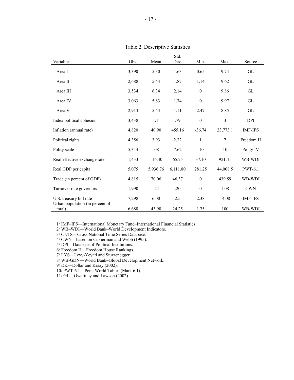|                                                            |       |          | Std.     |                  |          |                |
|------------------------------------------------------------|-------|----------|----------|------------------|----------|----------------|
| Variables                                                  | Obs.  | Mean     | Dev.     | Min.             | Max.     | Source         |
| Area I                                                     | 3,390 | 5.30     | 1.63     | 0.65             | 9.74     | GL             |
| Area II                                                    | 2,688 | 5.44     | 1.87     | 1.14             | 9.62     | GL             |
| Area III                                                   | 3,534 | 6.34     | 2.14     | $\boldsymbol{0}$ | 9.86     | GL             |
| Area IV                                                    | 3,063 | 5.83     | 1.74     | $\boldsymbol{0}$ | 9.97     | GL             |
| Area V                                                     | 2,913 | 5.43     | 1.11     | 2.47             | 8.85     | GL             |
| Index political cohesion                                   | 3,438 | .71      | .79      | $\boldsymbol{0}$ | 3        | <b>DPI</b>     |
| Inflation (annual rate)                                    | 4,820 | 40.90    | 455.16   | $-36.74$         | 23,773.1 | <b>IMF-IFS</b> |
| Political rights                                           | 4,356 | 3.93     | 2.22     | $\mathbf{1}$     | 7        | Freedom H      |
| Polity scale                                               | 5,344 | .08      | 7.62     | $-10$            | 10       | Polity IV      |
| Real effective exchange rate                               | 1,433 | 116.40   | 65.75    | 37.10            | 921.41   | WB-WDI         |
| Real GDP per capita                                        | 5,075 | 5,936.76 | 6,111.80 | 281.25           | 44,008.5 | <b>PWT-6.1</b> |
| Trade (in percent of GDP)                                  | 4,815 | 70.06    | 46.37    | $\boldsymbol{0}$ | 439.59   | WB-WDI         |
| Turnover rate governors                                    | 1,990 | .24      | .20      | $\boldsymbol{0}$ | 1.08     | <b>CWN</b>     |
| U.S. treasury bill rate<br>Urban population (in percent of | 7,298 | 6.00     | 2.5      | 2.38             | 14.08    | <b>IMF-IFS</b> |
| total)                                                     | 6,688 | 43.90    | 24.25    | 1.75             | 100      | WB-WDI         |

Table 2. Descriptive Statistics

1/ IMF–IFS—International Monetary Fund–International Financial Statistics.

2/ WB–WDI—World Bank–World Development Indicators.

3/ CNTS—Cross National Time Series Database.

4/ CWN—based on Cukierman and Webb (1995).

5/ DPI—Database of Political Institutions.

6/ Freedom H—Freedom House Rankings.

7/ LYS—Levy-Yeyati and Sturzenegger.

8/ WB-GDN—World Bank–Global Development Network.

9/ DK—Dollar and Kraay (2002).

10/ PWT-6.1—Penn World Tables (Mark 6.1).

11/ GL—Gwartney and Lawson (2002).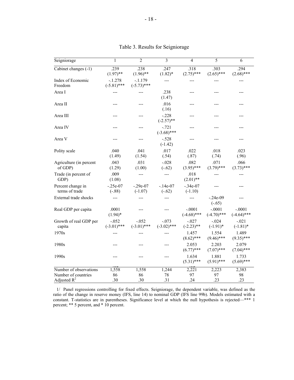| Seigniorage                         | 1                          | 2                        | $\mathfrak{Z}$           | 4                         | 5                         | 6                         |
|-------------------------------------|----------------------------|--------------------------|--------------------------|---------------------------|---------------------------|---------------------------|
| Cabinet changes (-1)                | .239<br>$(1.97)$ **        | .238<br>$(1.96)$ **      | .247<br>$(1.82)^*$       | .318<br>$(2.75)$ ***      | .303<br>$(2.65)$ ***      | .294<br>$(2.68)$ ***      |
| Index of Economic<br>Freedom        | $-.1.278$<br>$(-5.81)$ *** | -.1.179<br>$(-5.73)$ *** | ---                      | ---                       |                           |                           |
| Area I                              |                            |                          | .238<br>(1.47)           | ---                       |                           |                           |
| Area II                             |                            |                          | .016<br>(.16)            |                           |                           |                           |
| Area III                            |                            | ---                      | $-228$<br>$(-2.57)$ **   |                           |                           |                           |
| Area IV                             |                            | ---                      | $-.721$<br>$(-3.68)$ *** |                           |                           |                           |
| Area V                              |                            | ---                      | $-.528$<br>$(-1.42)$     |                           |                           |                           |
| Polity scale                        | .040<br>(1.49)             | .041<br>(1.54)           | .017<br>(.54)            | .022<br>(.87)             | .018<br>(.74)             | .023<br>(.96)             |
| Agriculture (in percent<br>of GDP)  | .043<br>(1.29)             | .031<br>(1.00)           | $-.028$<br>$(-.62)$      | .082<br>$(3.95)$ ***      | .071<br>$(3.79)$ ***      | .066<br>$(3.73)$ ***      |
| Trade (in percent of<br>GDP)        | .009<br>(1.08)             | $---$                    |                          | .018<br>$(2.01)$ **       |                           |                           |
| Percent change in<br>terms of trade | $-.25e-07$<br>$(-.88)$     | $-.29e-07$<br>$(-1.07)$  | $-.14e-07$<br>$(-.62)$   | $-.34e-07$<br>$(-1.10)$   |                           |                           |
| External trade shocks               |                            |                          | ---                      |                           | $-.24e-09$<br>$(-.65)$    |                           |
| Real GDP per capita                 | .0001<br>$(1.94)$ *        |                          |                          | $-.0001$<br>$(-4.68)$ *** | $-.0001$<br>$(-4.70)$ *** | $-.0001$<br>$(-4.64)$ *** |
| Growth of real GDP per<br>capita    | $-.052$<br>$(-3.01)$ ***   | $-.052$<br>$(-3.01)$ *** | $-.073$<br>$(-3.02)$ *** | $-.027$<br>$(-2.23)$ **   | $-0.024$<br>$(-1.91)$ *   | $-.021$<br>$(-1.81)$ *    |
| 1970s                               |                            |                          |                          | 1.457<br>$(8.62)$ ***     | 1.554<br>$(9.46)$ ***     | 1.489<br>$(9.35)$ ***     |
| 1980s                               |                            |                          |                          | 2.053<br>$(6.77)$ ***     | 2.203<br>$(7.07)$ ***     | 2.079<br>$(7.04)$ ***     |
| 1990s                               |                            |                          | ---                      | 1.634<br>$(5.31)$ ***     | 1.881<br>$(5.91)$ ***     | 1.733<br>$(5.69)$ ***     |
| Number of observations              | 1,558                      | 1,558                    | 1,244                    | 2,221                     | 2,223                     | 2,383                     |
| Number of countries                 | 86                         | 86                       | 78                       | 97                        | 97                        | 98                        |
| Adjusted $R^2$                      | .30                        | .30                      | .31                      | .24                       | .23                       | .23                       |

Table 3. Results for Seigniorage

 1/ Panel regressions controlling for fixed effects. Seigniorage, the dependent variable, was defined as the ratio of the change in reserve money (IFS, line 14) to nominal GDP (IFS line 99b). Models estimated with a constant. T-statistics are in parentheses. Significance level at which the null hypothesis is rejected—\*\*\* 1 percent; \*\* 5 percent, and \* 10 percent.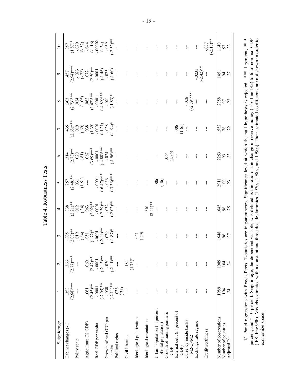| Seigniorage                                                              |                          | $\mathbf{\Omega}$        | 3                       | 4                      | 5                                 | $\circ$                |                     |                           |                              |                                |
|--------------------------------------------------------------------------|--------------------------|--------------------------|-------------------------|------------------------|-----------------------------------|------------------------|---------------------|---------------------------|------------------------------|--------------------------------|
| Cabinet changes (-1)                                                     | $(2.68)***$<br>353       | $(2.77)***$<br>366       | $(2.08)$ **<br>305      | $(2.21)$ **<br>.338    | $(2.48)**$<br>.257                | $(2.73)**$<br>314      | $(2.68)***$<br>435  | $(2.73)***$<br>303        | $2.94$ <sup>***</sup><br>457 | $(1.87)*$<br>.357              |
| Polity scale                                                             |                          |                          | 619<br>(64)             | (.34)<br>012           | (1.51)<br>.031                    | 020<br>(.81)           | 019<br>(0.6)        | (1.05)                    | $(-72)$                      |                                |
| Agriculture (% GDP)                                                      | .061                     | 060                      | $\overline{.051}$       | 063                    | I                                 | .067                   | .038                | .062                      | .072                         | $(-52)$<br>$(-52)$<br>$(-116)$ |
| Real GDP per capita                                                      | $(2.45)$ **<br>$-0001$   | $(2.42)$ **<br>$-0001$   | $(1.72)$ *<br>$-0001$   | $(2.02)$ **<br>$-0001$ | $-0001$                           | $(3.69)***$<br>$-0001$ | (1.39)<br>$-0001$   | $(3.47)***$<br>$-0001$    | $(2.50)$ **<br>$-0.0001$     | $-000002$                      |
| Growth of real GDP per                                                   | $(-2.05)$ **<br>$-0.030$ | $(-2.13)$ **<br>$-0.030$ | $(-2.11)**$<br>$-0.029$ | $(-2.39)$ **<br>$-032$ | $-6.47$ <sup>***</sup><br>$-0.36$ | $-4.88$<br>$-0.024$    | $(-1.21)$<br>$-028$ | $+**$<br>$-021$           | $(-1.46)$<br>-.025           | $(-34)$<br>-.039               |
| capita                                                                   | $(-2.11)**$              | $(-2.11)$ **             | $(-1.87)$ *             | $-2.02$ <sup>**</sup>  | $(-3.36)$ ***                     | $-1.96$ <sup>**</sup>  | $(-1.94)$ *         | $(-1.83)*$                | $(-1.60)$                    | $-2.52$ <sup>**</sup>          |
| Political rights                                                         | (31)<br>026              |                          |                         |                        |                                   |                        |                     |                           |                              |                                |
| Civil liberties                                                          |                          | $(1.73)*$<br>.184        | ł                       | ł                      | ł                                 | ł                      | ł                   | ł                         | ł                            |                                |
| Ideological polarization                                                 |                          |                          | (29)<br>[#0             | ł                      | ł                                 |                        |                     |                           |                              |                                |
| Ideological orientation                                                  | I                        | ŧ                        | ł                       | $(2.51)$ **<br>.361    | ŧ                                 | ł.                     |                     |                           |                              |                                |
| Urban population (in percent<br>of total population)                     |                          |                          | ł                       | ł                      | .006<br>(46)                      | ł                      |                     | ł                         |                              |                                |
| Growth of trading partners<br>GDP                                        |                          |                          | ł                       |                        | ł                                 | (1.36)                 | ł.                  |                           |                              |                                |
| External debt (in percent of<br>GDP)                                     |                          |                          | ł                       |                        | ł                                 |                        | (1.61)<br>.006      | ł                         | ł                            | ł                              |
| Currency inside banks<br>$(M2-C)/M2$                                     | ł                        | ł                        | ł                       |                        | ł                                 | ł                      | $\frac{1}{2}$       | $(-2.79)$ ***<br>$-0.026$ | ł                            | ł                              |
| Exchange rate regime                                                     | ł                        |                          | ł                       |                        | ł                                 | ł                      | ł                   |                           | $(-2.42)$ **<br>$-0.0233$    | ł                              |
| Creditworthiness                                                         |                          |                          | ł                       | ł                      | ł                                 | ł                      | ł                   | ł                         |                              | $(-2.18)$ **<br>$-0.037$       |
| Number of observations<br>Number of countries<br>Adjusted R <sup>2</sup> | 1989<br>104              | 1989<br>104              | 1648<br>96              | 1645<br>96             | 2911<br>100                       | 2253<br>93             | 1552<br>76          | 2358<br>56                | 1451<br>$\overline{6}$       | 1140<br>56                     |
|                                                                          | 24                       | $\ddot{z}$               | 27                      |                        | 23                                | 23                     |                     | 23                        | $\tilde{\mathcal{L}}$        | 33                             |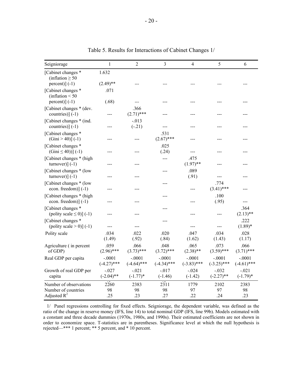| Seigniorage                                                     | 1                         | $\overline{2}$            | $\mathfrak{Z}$            | 4                         | 5                         | 6                         |
|-----------------------------------------------------------------|---------------------------|---------------------------|---------------------------|---------------------------|---------------------------|---------------------------|
| [Cabinet changes *<br>(inflation $\geq 50$<br>$percent)[(-1)]$  | 1.632<br>$(2.49)$ **      |                           |                           |                           |                           |                           |
| [Cabinet changes *<br>(inflation $\leq 50$                      | .071                      |                           |                           |                           |                           |                           |
| $percent$ ] (-1)                                                | (.68)                     |                           |                           |                           |                           |                           |
| [Cabinet changes * (dev.<br>countries) $]$ (-1)                 |                           | .366<br>$(2.71)$ ***      |                           |                           |                           |                           |
| [Cabinet changes * (ind.)<br>countries)] $(-1)$                 |                           | $-.013$<br>$(-.21)$       |                           |                           |                           |                           |
| [Cabinet changes *<br>$(Gini > 40)] (-1)$                       |                           |                           | .531<br>$(2.67)$ ***      |                           |                           |                           |
| [Cabinet changes *<br>$(Gini \le 40))$ (-1)                     |                           |                           | .025<br>(.24)             | ---                       |                           |                           |
| [Cabinet changes * (high<br>$turnover)] (-1)$                   |                           |                           | ---                       | .475<br>$(1.97)$ **       |                           |                           |
| [Cabinet changes * (low<br>$turnover)](-1)$                     |                           |                           | ---                       | .089<br>(.91)             | ---                       |                           |
| [Cabinet changes * (low<br>econ. freedom) $(-1)$                |                           |                           |                           | ---                       | .774<br>$(3.41)$ ***      |                           |
| [Cabinet changes * (high<br>econ. freedom) $(-1)$               |                           |                           |                           | ---                       | .100<br>(.95)             |                           |
| [Cabinet changes *<br>(polity scale $\leq$ 0)] (-1)             |                           |                           |                           | ---                       |                           | .364<br>$(2.13)$ **       |
| [Cabinet changes *<br>(polity scale $> 0$ )] (-1)               |                           |                           | ---                       |                           | ---                       | .222<br>$(1.89)*$         |
| Polity scale                                                    | .034<br>(1.49)            | .022<br>(.92)             | .020<br>(.84)             | .047<br>(1.62)            | .034<br>(1.43)            | .028<br>(1.17)            |
| Agriculture (in percent<br>of GDP)                              | .059<br>$(2.96)$ ***      | .066<br>$(3.73)$ ***      | .048<br>$(3.72)$ ***      | .065<br>$(2.38)$ **       | .073<br>$(3.59)$ ***      | .066<br>$(3.71)$ ***      |
| Real GDP per capita                                             | $-.0001$<br>$(-4.27)$ *** | $-.0001$<br>$(-4.64)$ *** | $-.0001$<br>$(-4.34)$ *** | $-.0001$<br>$(-3.83)$ *** | $-.0001$<br>$(-3.25)$ *** | $-.0001$<br>$(-4.61)$ *** |
| Growth of real GDP per<br>capita                                | $-.027$<br>$(-2.04)$ **   | $-.021$<br>$(-1.77)$ *    | $-.017$<br>$(-1.46)$      | $-.024$<br>$(-1.42)$      | $-.032$<br>$(-2.27)$ **   | $-.021$<br>$(-1.79)^*$    |
| Number of observations<br>Number of countries<br>Adjusted $R^2$ | 2260<br>98<br>.25         | 2383<br>98<br>.23         | 2311<br>98<br>.27         | 1779<br>97<br>.22         | 2102<br>97<br>.24         | 2383<br>98<br>.23         |

Table 5. Results for Interactions of Cabinet Changes 1/

 1/ Panel regressions controlling for fixed effects. Seigniorage, the dependent variable, was defined as the ratio of the change in reserve money (IFS, line 14) to total nominal GDP (IFS, line 99b). Models estimated with a constant and three decade dummies (1970s, 1980s, and 1990s). Their estimated coefficients are not shown in order to economize space. T-statistics are in parentheses. Significance level at which the null hypothesis is rejected—\*\*\* 1 percent; \*\* 5 percent, and \* 10 percent.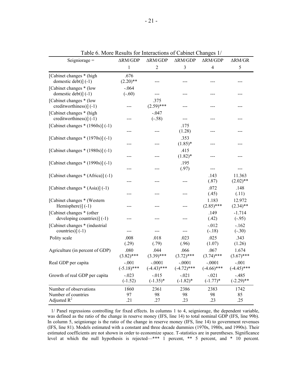| Seigniorage $=$                                                 | $\Delta RM/GDP$          | $\Delta RM/GDP$           | $\Delta RM/GDP$           | $\Delta RM/GDP$           | $\Delta RM/GR$           |
|-----------------------------------------------------------------|--------------------------|---------------------------|---------------------------|---------------------------|--------------------------|
|                                                                 | $\,1$                    | $\overline{2}$            | 3                         | $\overline{4}$            | 5                        |
| [Cabinet changes * (high<br>domestic debt)] (-1)                | .676<br>$(2.20)$ **      |                           |                           |                           |                          |
| [Cabinet changes * (low<br>domestic debt)] (-1)                 | $-.064$<br>$(-.60)$      | ---                       | ---                       | ---                       | ---                      |
| [Cabinet changes * (low<br>creditworthiness)] (-1)              | ---                      | .375<br>$(2.59)$ ***      | ---                       | ---                       | ---                      |
| [Cabinet changes * (high<br>creditworthiness)] (-1)             | ---                      | $-.047$<br>$(-.58)$       | ---                       | $---$                     | ---                      |
| [Cabinet changes $*(1960s)$ ] (-1)                              | ---                      | ---                       | .175<br>(1.28)            | ---                       | ---                      |
| [Cabinet changes $*(1970s)$ ] (-1)                              | ---                      | ---                       | .353<br>$(1.85)^*$        | $---$                     | ---                      |
| [Cabinet changes $*(1980s)$ ] (-1)                              | ---                      | ---                       | .415<br>$(1.82)$ *        | ---                       | ---                      |
| [Cabinet changes * (1990s)] (-1)                                | ---                      | ---                       | .195<br>(.97)             | $--$                      | ---                      |
| [Cabinet changes * (Africa)] (-1)                               | ---                      | ---                       | $---$                     | .143<br>(.87)             | 11.363<br>$(2.02)$ **    |
| [Cabinet changes * (Asia)] (-1)                                 | ---                      | ---                       | ---                       | .072<br>(.45)             | .148<br>(.11)            |
| [Cabinet changes * (Western)<br>Hemisphere)] (-1)               | ---                      | ---                       | ---                       | 1.183<br>$(2.85)$ ***     | 12.972<br>$(2.34)$ **    |
| [Cabinet changes * (other<br>developing countries) $(-1)$       | ---                      | ---                       | ---                       | .149<br>(.42)             | $-1.714$<br>$(-.95)$     |
| [Cabinet changes * (industrial<br>countries) $(-1)$             | ---                      | ---                       | ---                       | $-.012$<br>$(-.18)$       | $-.162$<br>$(-.30)$      |
| Polity scale                                                    | .008<br>(.29)            | .018<br>(.79)             | .023<br>(.96)             | .025<br>(1.07)            | .343<br>(1.26)           |
| Agriculture (in percent of GDP)                                 | .080<br>$(3.82)$ ***     | .044<br>$(3.39)$ ***      | .066<br>$(3.72)$ ***      | .067<br>$(3.74)$ ***      | 1.674<br>$(3.67)$ ***    |
| Real GDP per capita                                             | $-.001$<br>$(-5.18)$ *** | $-.0001$<br>$(-4.43)$ *** | $-.0001$<br>$(-4.72)$ *** | $-.0001$<br>$(-4.66)$ *** | $-.001$<br>$(-4.45)$ *** |
| Growth of real GDP per capita                                   | $-.023$<br>$(-1.52)$     | $-0.015$<br>$(-1.35)^*$   | $-.021$<br>$(-1.82)$ *    | $-.021$<br>$(-1.77)$ *    | $-.485$<br>$(-2.29)$ **  |
| Number of observations<br>Number of countries<br>Adjusted $R^2$ | 1860<br>97<br>.21        | 2361<br>98<br>.27         | 2386<br>98<br>.23         | 2383<br>98<br>.23         | 1742<br>85<br>.25        |

Table 6. More Results for Interactions of Cabinet Changes 1/

 1/ Panel regressions controlling for fixed effects. In columns 1 to 4, seigniorage, the dependent variable, was defined as the ratio of the change in reserve money (IFS, line 14) to total nominal GDP (IFS, line 99b). In column 5, seigniorage is the ratio of the change in reserve money (IFS, line 14) to government revenues (IFS, line 81). Models estimated with a constant and three decade dummies (1970s, 1980s, and 1990s). Their estimated coefficients are not shown in order to economize space. T-statistics are in parentheses. Significance level at which the null hypothesis is rejected—\*\*\* 1 percent, \*\* 5 percent, and \* 10 percent.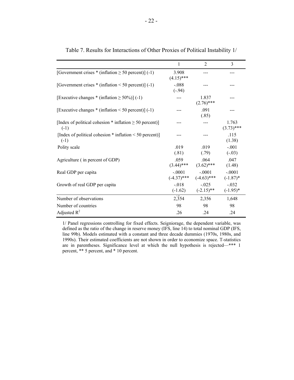|                                                                          | 1                         | $\mathfrak{D}$            | 3                       |
|--------------------------------------------------------------------------|---------------------------|---------------------------|-------------------------|
| [Government crises $*$ (inflation $\geq 50$ percent)] (-1)               | 3.908<br>$(4.15)$ ***     |                           |                         |
| [Government crises $*$ (inflation < 50 percent)] (-1)                    | $-.088$<br>$(-.94)$       |                           |                         |
| [Executive changes $*$ (inflation $\geq 50\%$ )] (-1)                    |                           | 1.837<br>$(2.76)$ ***     |                         |
| [Executive changes $*$ (inflation < 50 percent)] (-1)                    |                           | .091<br>(.85)             |                         |
| [Index of political cohesion $*$ inflation $\geq 50$ percent)]<br>$(-1)$ |                           |                           | 1.763<br>$(3.73)$ ***   |
| [Index of political cohesion $*$ inflation $\leq 50$ percent]]<br>$(-1)$ |                           |                           | .115<br>(1.38)          |
| Polity scale                                                             | .019<br>(.81)             | .019<br>(.79)             | $-.001$<br>$(-.03)$     |
| Agriculture (in percent of GDP)                                          | .059<br>$(3.44)$ ***      | .064<br>$(3.62)$ ***      | .047<br>(1.48)          |
| Real GDP per capita                                                      | $-.0001$<br>$(-4.37)$ *** | $-.0001$<br>$(-4.63)$ *** | $-.0001$<br>$(-1.87)$ * |
| Growth of real GDP per capita                                            | $-.018$<br>$(-1.62)$      | $-.025$<br>$(-2.15)$ **   | $-.032$<br>$(-1.95)^*$  |
| Number of observations                                                   | 2,354                     | 2,356                     | 1,648                   |
| Number of countries                                                      | 98                        | 98                        | 98                      |
| Adjusted $R^2$                                                           | .26                       | .24                       | .24                     |

Table 7. Results for Interactions of Other Proxies of Political Instability 1/

1/ Panel regressions controlling for fixed effects. Seigniorage, the dependent variable, was defined as the ratio of the change in reserve money (IFS, line 14) to total nominal GDP (IFS, line 99b). Models estimated with a constant and three decade dummies (1970s, 1980s, and 1990s). Their estimated coefficients are not shown in order to economize space. T-statistics are in parentheses. Significance level at which the null hypothesis is rejected—\*\*\* 1 percent, \*\* 5 percent, and \* 10 percent.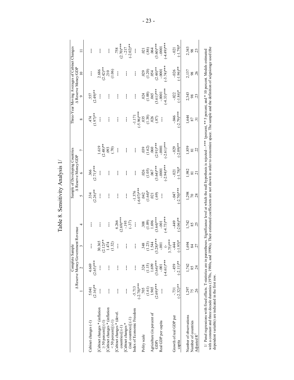| ľ                                        |
|------------------------------------------|
| 5777                                     |
| ï<br>Anal                                |
|                                          |
|                                          |
| $\alpha$ neitism $\alpha$<br><u>دا ج</u> |
| ζ                                        |
| $\infty$                                 |
| Table                                    |

|                                                                          |                                 | Complete Sample<br>A Reserve Money/Gov | ernment Revenue                         |                                 |                                   | Sample of Developing Countries<br>A Reserve Money/GDP |                                                   |                                | A Reserve Money/GDP              | Three-Year Moving Averages of Cabinet Changes |                            |
|--------------------------------------------------------------------------|---------------------------------|----------------------------------------|-----------------------------------------|---------------------------------|-----------------------------------|-------------------------------------------------------|---------------------------------------------------|--------------------------------|----------------------------------|-----------------------------------------------|----------------------------|
|                                                                          |                                 |                                        |                                         | 4                               | 5                                 | $\bullet$                                             | $\overline{C}$                                    | ${}^{\circ}$                   | $\circ$                          | $\overline{10}$                               | $\Box$                     |
| Cabinet changes (-1)                                                     | $(2.16)$ **<br>5.041            | $(2.65)***$<br>4.669                   | I                                       | I                               | $.334$<br>(2.26)**                | $366$<br>(2.71)***                                    |                                                   | $(1.97)$ **<br>474             | $557$<br>(2.49)**                | I                                             | ļ                          |
| Cabinet changes * (inflation<br>$\geq$ 50 percent) $(-1)$                | $\mathbf{I}$                    | ł                                      | $2.12$ <sup>**</sup><br>30.365          | ł                               | $\mathbf{I}$                      | ł                                                     | $1.619$<br>(2.48)**                               | $\mathbf{I}$                   | ł                                | $2.686$<br>$(2.42)**$                         | ł                          |
| Cabinet changes * (inflation<br>$<$ 50 percent)] $(-1)$                  | ł                               | ł                                      | 1.474<br>(1.32)                         | ł                               | I                                 | I                                                     | .093<br>(0.7)                                     | I                              | I                                | $\frac{210}{(1.06)}$                          | ł                          |
| [Cabinet changes * (devel<br>$countries] (-1)$                           | I                               | I                                      | ł                                       | $(2.69)$ ***<br>6.266           | ł                                 | ł                                                     | I                                                 | I                              | I                                | I                                             | $(2.70)***$<br>.758        |
| $(ind.$ countries) $] (-1)$<br>[Cabinet changes *                        | ł                               | ł                                      | ł                                       | $-195$<br>$(-37)$               | ł                                 | $\mathbf{I}$                                          | ł                                                 | ł                              | ł                                | ł                                             | $(-2.02)$ **<br>$-217$     |
| Index of Economic Freedom                                                | $-5.713$<br>$(-2.78)***$        | ł                                      | ł                                       | ł                               | $-1.376$<br>$(-6.07)$ ***         | ł                                                     | ł                                                 | $(-5.96)$ ***<br>$-1.171$      | ł                                | ł                                             | ł                          |
| Polity scale                                                             | 705                             | 324                                    | 348                                     | 308                             | .042                              | .026                                                  | 039                                               | $\frac{035}{(1.38)}$           | .024                             | 029                                           | .021                       |
| Agriculture (in percent of                                               | 1.965<br>(1.61)                 | $(1.15)$<br>$1.699$                    | 1.544<br>(1.23)                         | $(1.09)$<br>$1.696$             | $(1.64)*$<br>.021                 | (1.05)<br>.067                                        | $(1.62)$<br>.060                                  |                                | $(1.00)$<br>.065                 | (1.20)<br>.054                                | (86)                       |
| Real GDP per capita<br>GDP)                                              | $(2.69)$ ***                    | $(3.64)***$<br>$-0.001$                | $(3.28)***$<br>$-0.001$                 | $(3.64)***$<br>$-0.001$         | (.69)<br>I                        | $(3.64)***$<br>$-0001$                                | $(2.91)***$<br>$-0001$                            | (0.87)<br>ł                    | $(3.61)***$<br>$-0001$           | $(2.44)$ **<br>$-0.0001$                      | $(3.60)***$<br>$-0001$     |
|                                                                          |                                 | $(-4.61)$ ***                          | $3.75$ <sup>***</sup><br>$\overline{C}$ | $(-4.73)$ ***                   |                                   | $(-2.94)$ ***                                         | $(-2.61)$ ***                                     |                                | $(-4.33)$ ***                    | $(-3.74)$ ***                                 | $(-4.49)$                  |
| Growth of real GDP per<br>capita                                         | $-2.32$ <sup>**</sup><br>$-731$ | $(-2.11)**$<br>$-459$                  | $(-1.95)*$<br>$-444$                    | $-2.06$ <sup>**</sup><br>$-449$ | $-2.70$ <sup>***</sup><br>$F10$ - | $(-1.78)*$<br>$-0.21$                                 | $-2.09$ <sup>**</sup><br>$-0.029$                 | $(-2.79)$ ***<br>$940 -$       | $-1.84$ <sup>*</sup><br>$-0.022$ | $(-1.96)$ **<br>$-0.026$                      | $(-1.79)$ *<br>$-0.021$    |
| Number of observations<br>Number of countries<br>Adjusted R <sup>2</sup> | 1,297<br>26<br>75               | 1,742<br>24                            | 1,694<br>27<br>84                       | 1,742<br>85                     | 298<br>70                         | ,982<br>$\overline{21}$<br>$\overline{8}1$            | 1,859<br>$\tilde{\mathcal{L}}$<br>$\overline{8}1$ | 1,644<br>87<br>$\overline{31}$ | 2,343<br>$\frac{8}{23}$          | 2,137<br>26<br>$98\,$                         | 2,343<br>98 <sub>(23</sub> |

- 23 -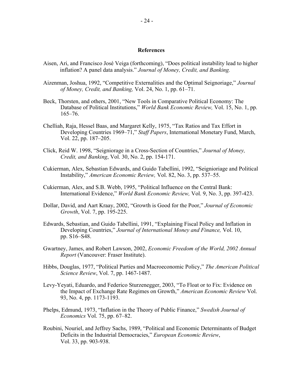## **References**

- Aisen, Ari, and Francisco José Veiga (forthcoming), "Does political instability lead to higher inflation? A panel data analysis." *Journal of Money, Credit, and Banking.*
- Aizenman, Joshua, 1992, "Competitive Externalities and the Optimal Seignoriage," *Journal of Money, Credit, and Banking,* Vol. 24, No. 1, pp. 61–71.
- Beck, Thorsten, and others, 2001, "New Tools in Comparative Political Economy: The Database of Political Institutions," *World Bank Economic Review,* Vol. 15, No. 1, pp. 165–76.
- Chelliah, Raja, Hessel Baas, and Margaret Kelly, 1975, "Tax Ratios and Tax Effort in Developing Countries 1969–71," *Staff Papers*, International Monetary Fund, March, Vol. 22, pp. 187–205.
- Click, Reid W. 1998, "Seigniorage in a Cross-Section of Countries," *Journal of Money, Credit, and Banking*, Vol. 30, No. 2, pp. 154-171.
- Cukierman, Alex, Sebastian Edwards, and Guido Tabellini, 1992, "Seignioriage and Political Instability," *American Economic Review,* Vol. 82, No. 3, pp. 537–55.
- Cukierman, Alex, and S.B. Webb, 1995, "Political Influence on the Central Bank: International Evidence," *World Bank Economic Review,* Vol. 9, No. 3, pp. 397-423.
- Dollar, David, and Aart Kraay, 2002, "Growth is Good for the Poor," *Journal of Economic Growth*, Vol. 7, pp. 195-225.
- Edwards, Sebastian, and Guido Tabellini, 1991, "Explaining Fiscal Policy and Inflation in Developing Countries," *Journal of International Money and Finance,* Vol. 10, pp. S16–S48.
- Gwartney, James, and Robert Lawson, 2002, *Economic Freedom of the World, 2002 Annual Report* (Vancouver: Fraser Institute).
- Hibbs, Douglas, 1977, "Political Parties and Macroeconomic Policy," *The American Political Science Review*, Vol. 7, pp. 1467-1487.
- Levy-Yeyati, Eduardo, and Federico Sturzenegger, 2003, "To Float or to Fix: Evidence on the Impact of Exchange Rate Regimes on Growth," *American Economic Review* Vol. 93, No. 4, pp. 1173-1193.
- Phelps, Edmund, 1973, "Inflation in the Theory of Public Finance," *Swedish Journal of Economics* Vol. 75, pp. 67–82.
- Roubini, Nouriel, and Jeffrey Sachs, 1989, "Political and Economic Determinants of Budget Deficits in the Industrial Democracies," *European Economic Review*, Vol. 33, pp. 903-938.